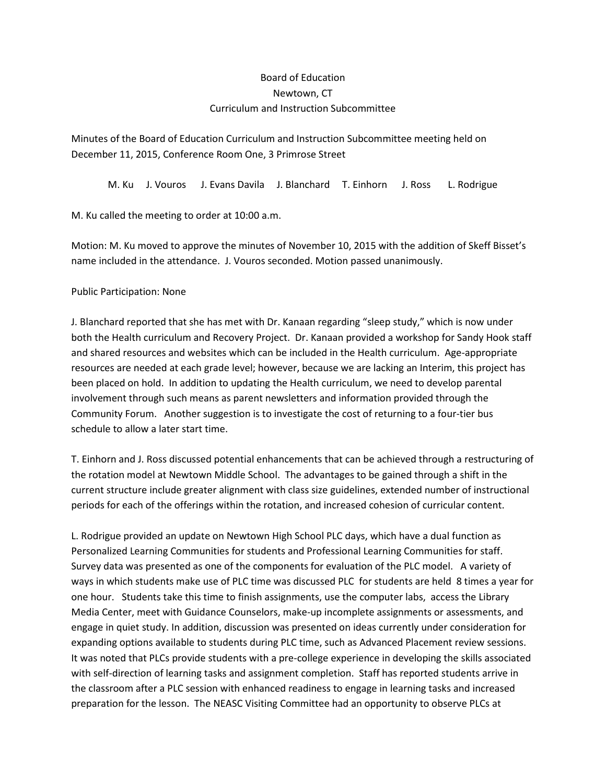## Board of Education Newtown, CT Curriculum and Instruction Subcommittee

Minutes of the Board of Education Curriculum and Instruction Subcommittee meeting held on December 11, 2015, Conference Room One, 3 Primrose Street

M. Ku J. Vouros J. Evans Davila J. Blanchard T. Einhorn J. Ross L. Rodrigue

M. Ku called the meeting to order at 10:00 a.m.

Motion: M. Ku moved to approve the minutes of November 10, 2015 with the addition of Skeff Bisset's name included in the attendance. J. Vouros seconded. Motion passed unanimously.

## Public Participation: None

J. Blanchard reported that she has met with Dr. Kanaan regarding "sleep study," which is now under both the Health curriculum and Recovery Project. Dr. Kanaan provided a workshop for Sandy Hook staff and shared resources and websites which can be included in the Health curriculum. Age-appropriate resources are needed at each grade level; however, because we are lacking an Interim, this project has been placed on hold. In addition to updating the Health curriculum, we need to develop parental involvement through such means as parent newsletters and information provided through the Community Forum. Another suggestion is to investigate the cost of returning to a four-tier bus schedule to allow a later start time.

T. Einhorn and J. Ross discussed potential enhancements that can be achieved through a restructuring of the rotation model at Newtown Middle School. The advantages to be gained through a shift in the current structure include greater alignment with class size guidelines, extended number of instructional periods for each of the offerings within the rotation, and increased cohesion of curricular content.

L. Rodrigue provided an update on Newtown High School PLC days, which have a dual function as Personalized Learning Communities for students and Professional Learning Communities for staff. Survey data was presented as one of the components for evaluation of the PLC model. A variety of ways in which students make use of PLC time was discussed PLC for students are held 8 times a year for one hour. Students take this time to finish assignments, use the computer labs, access the Library Media Center, meet with Guidance Counselors, make-up incomplete assignments or assessments, and engage in quiet study. In addition, discussion was presented on ideas currently under consideration for expanding options available to students during PLC time, such as Advanced Placement review sessions. It was noted that PLCs provide students with a pre-college experience in developing the skills associated with self-direction of learning tasks and assignment completion. Staff has reported students arrive in the classroom after a PLC session with enhanced readiness to engage in learning tasks and increased preparation for the lesson. The NEASC Visiting Committee had an opportunity to observe PLCs at